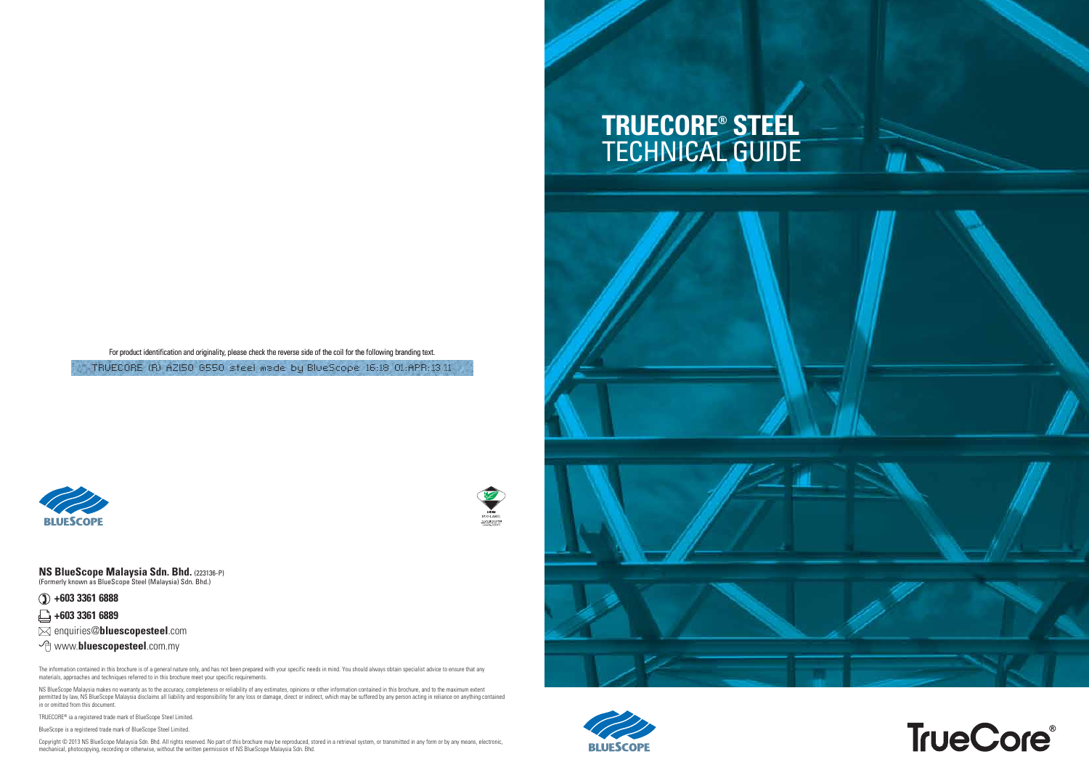For product identification and originality, please check the reverse side of the coil for the following branding text.

TRUECORE (R) AZI50 6550 steel made by BlueScope 16:18 01:APR:13 11

# **TRUECORE® STEEL**





NS BlueScope Malaysia makes no warranty as to the accuracy, completeness or reliability of any estimates, opinions or other information contained in this brochure, and to the maximum extent permitted by law, NS BlueScope Malaysia disclaims all liability and responsibility for any loss or damage, direct or indirect, which may be suffered by any person acting in reliance on anything contained in or omitted from this document.

Copyright © 2013 NS BlueScope Malaysia Sdn. Bhd. All rights reserved. No part of this brochure may be reproduced, stored in a retrieval system, or transmitted in any form or by any means, electronic, mechanical, photocopying, recording or otherwise, without the written permission of NS BlueScope Malaysia Sdn. Bhd.









TRUECORE® ia a registered trade mark of BlueScope Steel Limited. BlueScope is a registered trade mark of BlueScope Steel Limited.

### **NS BlueScope Malaysia Sdn. Bhd.** (223136-P) (Formerly known as BlueScope Steel (Malaysia) Sdn. Bhd.)

**+603 3361 6888**

**+603 3361 6889**

enquiries@**bluescopesteel**.com

www.**bluescopesteel**.com.my

The information contained in this brochure is of a general nature materials, approaches and techniques referred to in this brochure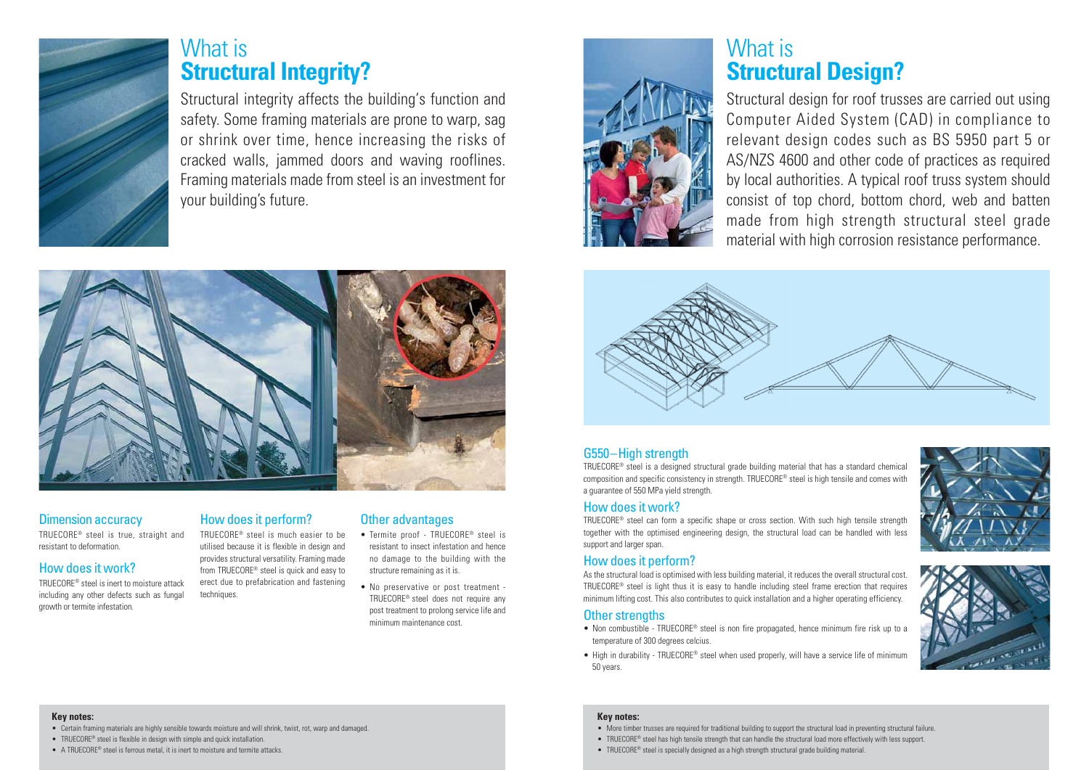# G550–High strength

TRUECORE® steel is a designed structural grade building material that has a standard chemical composition and specific consistency in strength. TRUECORE® steel is high tensile and comes with a guarantee of 550 MPa yield strength.

# How does it work?

TRUECORE® steel can form a specific shape or cross section. With such high tensile strength together with the optimised engineering design, the structural load can be handled with less support and larger span.

# How does it perform?

- Non combustible TRUECORE® steel is non fire propagated, hence minimum fire risk up to a temperature of 300 degrees celcius.
- High in durability TRUECORE® steel when used properly, will have a service life of minimum 50 years.

As the structural load is optimised with less building material, it reduces the overall structural cost. TRUECORE® steel is light thus it is easy to handle including steel frame erection that requires minimum lifting cost. This also contributes to quick installation and a higher operating efficiency.

# Other strengths



# What is **Structural Integrity?**

# Dimension accuracy

TRUECORE® steel is true, straight and resistant to deformation.

# How does it work?

TRUECORE® steel is inert to moisture attack including any other defects such as fungal growth or termite infestation.

- Certain framing materials are highly sensible towards moisture and will shrink, twist, rot, warp and damaged
- TRUECORE<sup>®</sup> steel is flexible in design with simple and quick installation.
- A TRUECORE® steel is ferrous metal, it is inert to moisture and termite attacks.

# How does it perform?

TRUECORE® steel is much easier to be utilised because it is flexible in design and provides structural versatility. Framing made from TRUECORE® steel is quick and easy to erect due to prefabrication and fastening techniques.

# Other advantages

- Termite proof TRUECORE® steel is resistant to insect infestation and hence no damage to the building with the structure remaining as it is.
- No preservative or post treatment TRUECORE® steel does not require any post treatment to prolong service life and minimum maintenance cost.



Structural integrity affects the building's function and safety. Some framing materials are prone to warp, sag or shrink over time, hence increasing the risks of cracked walls, jammed doors and waving rooflines. Framing materials made from steel is an investment for your building's future.



# **Key notes:**

# **Key notes:**

- More timber trusses are required for traditional building to support the structural load in preventing structural failure.
- TRUECORE® steel has high tensile strength that can handle the structural load more effectively with less support.
- TRUECORE® steel is specially designed as a high strength structural grade building material.





# What is **Structural Design?**

Structural design for roof trusses are carried out using Computer Aided System (CAD) in compliance to relevant design codes such as BS 5950 part 5 or AS/NZS 4600 and other code of practices as required by local authorities. A typical roof truss system should consist of top chord, bottom chord, web and batten made from high strength structural steel grade material with high corrosion resistance performance.

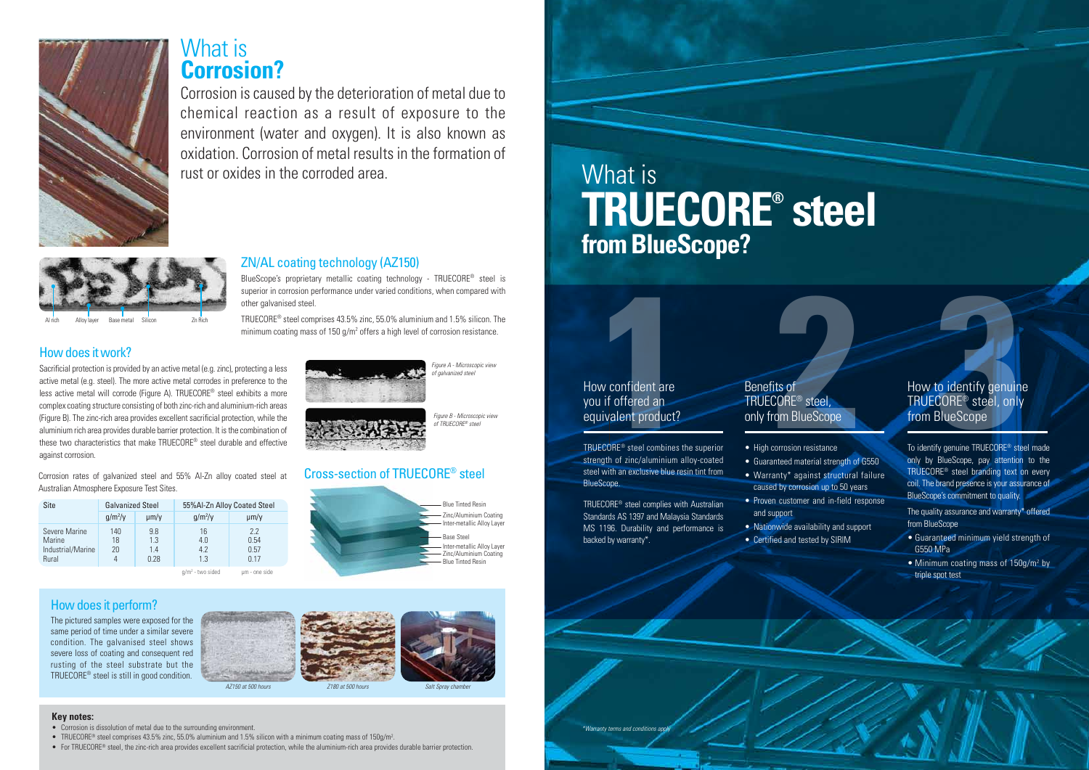Corrosion rates of galvanized steel and 55% Al-Zn alloy coated steel at Australian Atmosphere Exposure Test Sites.

| Site                                                         | <b>Galvanized Steel</b> |                           | 55%Al-Zn Alloy Coated Steel |                            |  |
|--------------------------------------------------------------|-------------------------|---------------------------|-----------------------------|----------------------------|--|
|                                                              | $q/m^2$ /y              | $\mu$ m/v                 | $q/m^2$ /y                  | $\mu$ m/y                  |  |
| Severe Marine<br>Marine<br>Industrial/Marine<br><b>Rural</b> | 140<br>18<br>20         | 9.8<br>1.3<br>1.4<br>በ 28 | 16<br>4.0<br>42<br>13       | 22<br>0.54<br>0.57<br>በ 17 |  |

 $q/m^2$  - two sided um - one side



- High corrosion resistance
- Guaranteed material strength of G550
- Warranty\* against structural failure
- caused by corrosion up to 50 years
- Proven customer and in-field response and support
	- Nationwide availability and support
	- Certified and tested by SIRIM

How confident are you if offered an equivalent product? **1**® steel combines the superior

strength of zinc/aluminium alloy-coated TRUECORE<sup>®</sup> steel combines the superior steel with an exclusive blue resin tint from BlueScope.

TRUECORE® steel complies with Australian Standards AS 1397 and Malaysia Standards MS 1196. Durability and performance is backed by warranty\*.

# Benefits of TRUECORE® steel, only from BlueScope

# **2 3** How to identify genuine TRUECORE ® steel, only from BlueScope

Figure A - Microscopic view .<br>of galvanized steel



To identify genuine TRUECORE ® steel made only by BlueScope, pay attention to the TRUECORE ® steel branding text on every coil. The brand presence is your assurance of BlueScope's commitment to quality.

The quality assurance and warranty\* offered from BlueScope

- Guaranteed minimum yield strength of G550 MPa
- Minimum coating mass of 150g/m<sup>2</sup> by triple spot test









TRUECORE® steel comprises 43.5% zinc, 55.0% aluminium and 1.5% silicon. The minimum coating mass of 150 g/m<sup>2</sup> offers a high level of corrosion resistance.

The pictured samples were exposed for the same period of time under a similar severe condition. The galvanised steel shows severe loss of coating and consequent red rusting of the steel substrate but the TRUECORE® steel is still in good condition.

Corrosion is caused by the deterioration of metal due to chemical reaction as a result of exposure to the environment (water and oxygen). It is also known as oxidation. Corrosion of metal results in the formation of rust or oxides in the corroded area. What is

# **Key notes:**

- Corrosion is dissolution of metal due to the surrounding environment.
- TRUECORE<sup>®</sup> steel comprises 43.5% zinc, 55.0% aluminium and 1.5% silicon with a minimum coating mass of 150g/m<sup>2</sup>.
- For TRUECORE® steel, the zinc-rich area provides excellent sacrificial protection, while the aluminium-rich area provides durable barrier protection.



# Cross-section of TRUECORE® steel

Figure B - Microscopic view of TRUECORE® steel

# How does it work?

Sacrificial protection is provided by an active metal (e.g. zinc), protecting a less active metal (e.g. steel). The more active metal corrodes in preference to the less active metal will corrode (Figure A). TRUECORE® steel exhibits a more complex coating structure consisting of both zinc-rich and aluminium-rich areas (Figure B). The zinc-rich area provides excellent sacrificial protection, while the aluminium rich area provides durable barrier protection. It is the combination of these two characteristics that make TRUECORE® steel durable and effective against corrosion.

# ZN/AL coating technology (AZ150)

BlueScope's proprietary metallic coating technology - TRUECORE® steel is superior in corrosion performance under varied conditions, when compared with other galvanised steel.





# What is **Corrosion?**

# **TRUECORE® steel from BlueScope?**